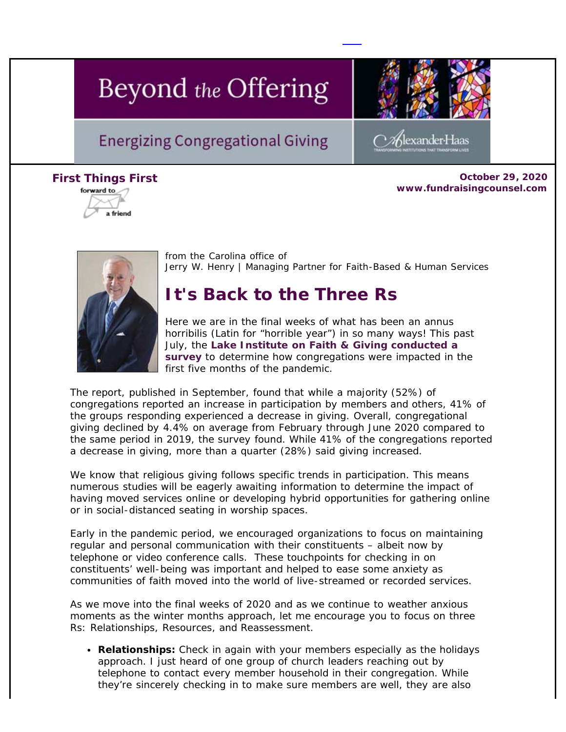# Beyond the Offering

# **Energizing Congregational Giving**



**Firs[t Things](https://view.exacttarget.com/ftaf.aspx?qs=b4799ffcf8512a2738c573777393c84e3a5412093395ed02f294d3de866991558d778a502900d8483f272713fe756294614c23434d1d7373)** *First* **October 29, 2020 www.fundraisingcounsel.com**

lexander Haas



from the Carolina office of *Jerry W. Henry* | Managing Partner for Faith-Based & Human Services

# **It's Back to the Three Rs**

Here we are in the final weeks of what has been an *annus horribilis* (Latin for "horrible year") in so many ways! This past July, the **[Lake Institute on Faith & Giving conducted a](https://cl.exct.net/?qs=c2014a719fa13cdfefa5be7a3dd2448be212271916409c85595d638e1c29db85e10b0c24c608df6a050b517f34005b68) [survey](https://cl.exct.net/?qs=c2014a719fa13cdfefa5be7a3dd2448be212271916409c85595d638e1c29db85e10b0c24c608df6a050b517f34005b68)** to determine how congregations were impacted in the first five months of the pandemic.

The report, published in September, found that while a majority (52%) of congregations reported an increase in participation by members and others, 41% of the groups responding experienced a decrease in giving. Overall, congregational giving declined by 4.4% on average from February through June 2020 compared to the same period in 2019, the survey found. While 41% of the congregations reported a decrease in giving, more than a quarter (28%) said giving increased.

We know that religious giving follows specific trends in participation. This means numerous studies will be eagerly awaiting information to determine the impact of having moved services online or developing hybrid opportunities for gathering online or in social-distanced seating in worship spaces.

Early in the pandemic period, we encouraged organizations to focus on maintaining regular and personal communication with their constituents – albeit now by telephone or video conference calls. These touchpoints for checking in on constituents' well-being was important and helped to ease some anxiety as communities of faith moved into the world of live-streamed or recorded services.

As we move into the final weeks of 2020 and as we continue to weather anxious moments as the winter months approach, let me encourage you to focus on three Rs: Relationships, Resources, and Reassessment.

**Relationships:** Check in again with your members especially as the holidays approach. I just heard of one group of church leaders reaching out by telephone to contact every member household in their congregation. While they're sincerely checking in to make sure members are well, they are also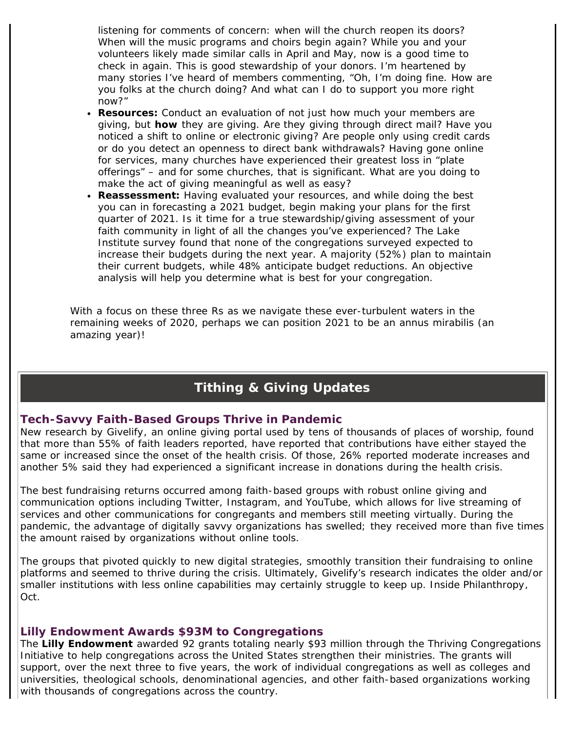listening for comments of concern: when will the church reopen its doors? When will the music programs and choirs begin again? While you and your volunteers likely made similar calls in April and May, now is a good time to check in again. This is good stewardship of your donors. I'm heartened by many stories I've heard of members commenting, "Oh, I'm doing fine. How are you folks at the church doing? And what can I do to support you more right now?"

- **Resources:** Conduct an evaluation of not just how much your members are giving, but *how* they are giving. Are they giving through direct mail? Have you noticed a shift to online or electronic giving? Are people only using credit cards or do you detect an openness to direct bank withdrawals? Having gone online for services, many churches have experienced their greatest loss in "plate offerings" – and for some churches, that is significant. What are you doing to make the act of giving meaningful as well as easy?
- **Reassessment:** Having evaluated your resources, and while doing the best you can in forecasting a 2021 budget, begin making your plans for the first quarter of 2021. Is it time for a true stewardship/giving assessment of your faith community in light of all the changes you've experienced? The Lake Institute survey found that none of the congregations surveyed expected to increase their budgets during the next year. A majority (52%) plan to maintain their current budgets, while 48% anticipate budget reductions. An objective analysis will help you determine what is best for your congregation.

With a focus on these three Rs as we navigate these ever-turbulent waters in the remaining weeks of 2020, perhaps we can position 2021 to be an *annus mirabilis* (an amazing year)!

# **Tithing & Giving Updates**

#### **Tech-Savvy Faith-Based Groups Thrive in Pandemic**

New research by *Givelify*, an online giving portal used by tens of thousands of places of worship, found that more than 55% of faith leaders reported, have reported that contributions have either stayed the same or increased since the onset of the health crisis. Of those, 26% reported moderate increases and another 5% said they had experienced a significant increase in donations during the health crisis.

The best fundraising returns occurred among faith-based groups with robust online giving and communication options including Twitter, Instagram, and YouTube, which allows for live streaming of services and other communications for congregants and members still meeting virtually. During the pandemic, the advantage of digitally savvy organizations has swelled; they received more than five times the amount raised by organizations without online tools.

The groups that pivoted quickly to new digital strategies, smoothly transition their fundraising to online platforms and seemed to thrive during the crisis. Ultimately, Givelify's research indicates the older and/or smaller institutions with less online capabilities may certainly struggle to keep up. *Inside Philanthropy*, Oct.

#### **Lilly Endowment Awards \$93M to Congregations**

The **Lilly Endowment** awarded 92 grants totaling nearly \$93 million through the *Thriving Congregations Initiative* to help congregations across the United States strengthen their ministries. The grants will support, over the next three to five years, the work of individual congregations as well as colleges and universities, theological schools, denominational agencies, and other faith-based organizations working with thousands of congregations across the country.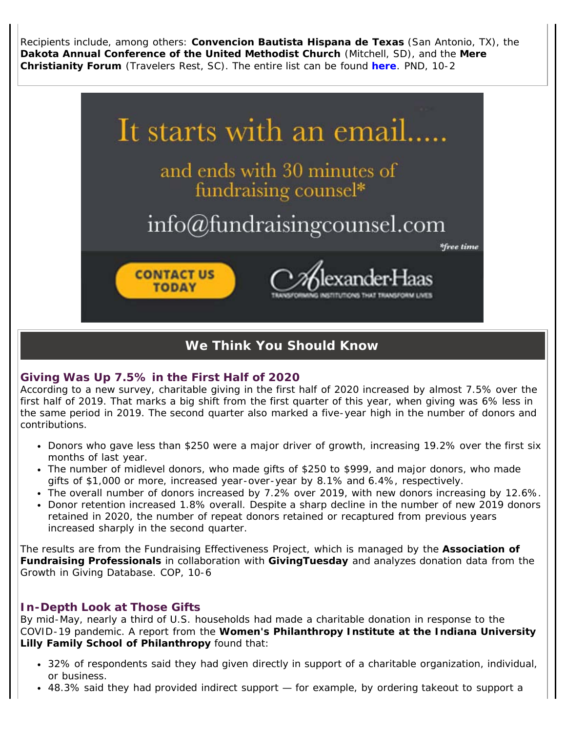Recipients include, among others: **Convencion Bautista Hispana de Texas** (San Antonio, TX), the **Dakota Annual Conference of the United Methodist Church** (Mitchell, SD), and the **Mere Christianity Forum** (Travelers Rest, SC). The entire list can be found **[here](https://cl.exct.net/?qs=c2014a719fa13cdfa3bf7bb96d390b8ac4550c3dd0eccac6c8fc2fb7279bbe142400ef020ef32745718a4084148d4d31)**. *PND, 10-2*



# **We Think You Should Know**

#### **Giving Was Up 7.5% in the First Half of 2020**

According to a new survey, charitable giving in the first half of 2020 increased by almost 7.5% over the first half of 2019. That marks a big shift from the first quarter of this year, when giving was 6% less in the same period in 2019. The second quarter also marked a five-year high in the number of donors and contributions.

- Donors who gave less than \$250 were a major driver of growth, increasing 19.2% over the first six months of last year.
- The number of midlevel donors, who made gifts of \$250 to \$999, and major donors, who made gifts of \$1,000 or more, increased year-over-year by 8.1% and 6.4%, respectively.
- The overall number of donors increased by 7.2% over 2019, with new donors increasing by 12.6%.
- Donor retention increased 1.8% overall. Despite a sharp decline in the number of new 2019 donors retained in 2020, the number of repeat donors retained or recaptured from previous years increased sharply in the second quarter.

The results are from the *Fundraising Effectiveness Project*, which is managed by the **Association of Fundraising Professionals** in collaboration with **GivingTuesday** and analyzes donation data from the *Growth in Giving Database*. *COP, 10-6*

## **In-Depth Look at Those Gifts**

By mid-May, nearly a third of U.S. households had made a charitable donation in response to the COVID-19 pandemic. A report from the **Women's Philanthropy Institute at the Indiana University Lilly Family School of Philanthropy** found that:

- 32% of respondents said they had given directly in support of a charitable organization, individual, or business.
- 48.3% said they had provided indirect support for example, by ordering takeout to support a